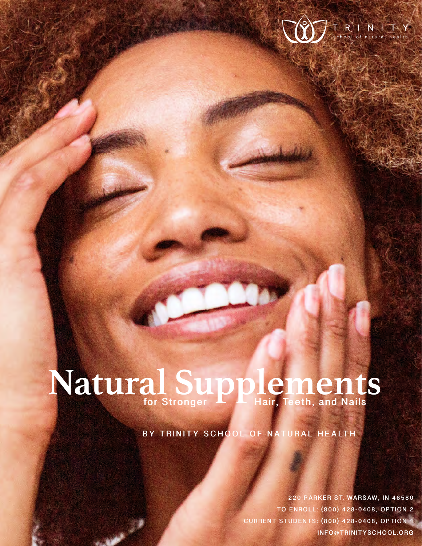

# **Natural Supplements for Stronger Hair, Teeth, and Nails**

**BY TRINITY SCHOOL OF NATURAL HEALTH** 

**NATURAL SUPPLEMENTS FOR STRONGER HAIR, TEETH, AND NAIL <sup>S</sup>1 CURRENT STUDENTS: (800) 428-0408, OPTION 1 220 PARKER ST. WARSAW, IN 46580 TO ENROLL: (800) 428-0408, OPTION 2 [INFO@TRINITYSCHOOL.ORG](mailto:info@trinityschool.org)**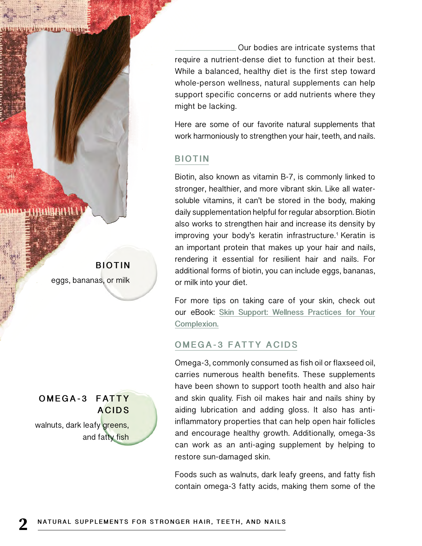**ITANINALE ALLIANISTIM** 

**BIOTIN** eggs, bananas, or milk

**ACIDS** walnuts, dark leafy greens, and fatty fish

**O M E G A - 3 F AT T Y** 

 Our bodies are intricate systems that require a nutrient-dense diet to function at their best. While a balanced, healthy diet is the first step toward whole-person wellness, natural supplements can help support specific concerns or add nutrients where they might be lacking.

Here are some of our favorite natural supplements that work harmoniously to strengthen your hair, teeth, and nails.

#### **BIOTIN**

Biotin, also known as vitamin B-7, is commonly linked to stronger, healthier, and more vibrant skin. Like all watersoluble vitamins, it can't be stored in the body, making daily supplementation helpful for regular absorption. Biotin also works to strengthen hair and increase its density by improving your body's keratin infrastructure.1 Keratin is an important protein that makes up your hair and nails, rendering it essential for resilient hair and nails. For additional forms of biotin, you can include eggs, bananas, or milk into your diet.

For more tips on taking care of your skin, check out our eBook: **[Skin Support: Wellness Practices for Your](https://www.trinityschool.org/Skin-Support--Wellness-Practices-for-Your-Complexion) [Complexion.](https://www.trinityschool.org/Skin-Support--Wellness-Practices-for-Your-Complexion)**

#### **OMEGA-3 FATTY ACIDS**

Omega-3, commonly consumed as fish oil or flaxseed oil, carries numerous health benefits. These supplements have been shown to support tooth health and also hair and skin quality. Fish oil makes hair and nails shiny by aiding lubrication and adding gloss. It also has antiinflammatory properties that can help open hair follicles and encourage healthy growth. Additionally, omega-3s can work as an anti-aging supplement by helping to restore sun-damaged skin.

Foods such as walnuts, dark leafy greens, and fatty fish contain omega-3 fatty acids, making them some of the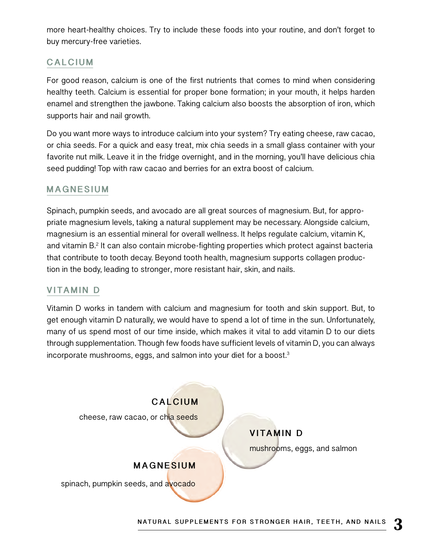more heart-healthy choices. Try to include these foods into your routine, and don't forget to buy mercury-free varieties.

#### **CALCIUM**

For good reason, calcium is one of the first nutrients that comes to mind when considering healthy teeth. Calcium is essential for proper bone formation; in your mouth, it helps harden enamel and strengthen the jawbone. Taking calcium also boosts the absorption of iron, which supports hair and nail growth.

Do you want more ways to introduce calcium into your system? Try eating cheese, raw cacao, or chia seeds. For a quick and easy treat, mix chia seeds in a small glass container with your favorite nut milk. Leave it in the fridge overnight, and in the morning, you'll have delicious chia seed pudding! Top with raw cacao and berries for an extra boost of calcium.

#### **MAGNESIUM**

Spinach, pumpkin seeds, and avocado are all great sources of magnesium. But, for appropriate magnesium levels, taking a natural supplement may be necessary. Alongside calcium, magnesium is an essential mineral for overall wellness. It helps regulate calcium, vitamin K, and vitamin B.<sup>2</sup> It can also contain microbe-fighting properties which protect against bacteria that contribute to tooth decay. Beyond tooth health, magnesium supports collagen production in the body, leading to stronger, more resistant hair, skin, and nails.

#### **VITAMIN D**

Vitamin D works in tandem with calcium and magnesium for tooth and skin support. But, to get enough vitamin D naturally, we would have to spend a lot of time in the sun. Unfortunately, many of us spend most of our time inside, which makes it vital to add vitamin D to our diets through supplementation. Though few foods have sufficient levels of vitamin D, you can always incorporate mushrooms, eggs, and salmon into your diet for a boost.3

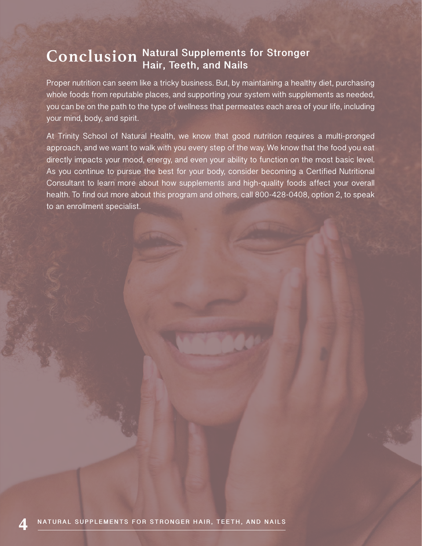### **Conclusion Natural Supplements for Stronger Hair, Teeth, and Nails**

Proper nutrition can seem like a tricky business. But, by maintaining a healthy diet, purchasing whole foods from reputable places, and supporting your system with supplements as needed, you can be on the path to the type of wellness that permeates each area of your life, including your mind, body, and spirit.

At Trinity School of Natural Health, we know that good nutrition requires a multi-pronged approach, and we want to walk with you every step of the way. We know that the food you eat directly impacts your mood, energy, and even your ability to function on the most basic level. As you continue to pursue the best for your body, consider becoming a Certified Nutritional Consultant to learn more about how supplements and high-quality foods affect your overall health. To find out more about this program and others, call 800-428-0408, option 2, to speak to an enrollment specialist.